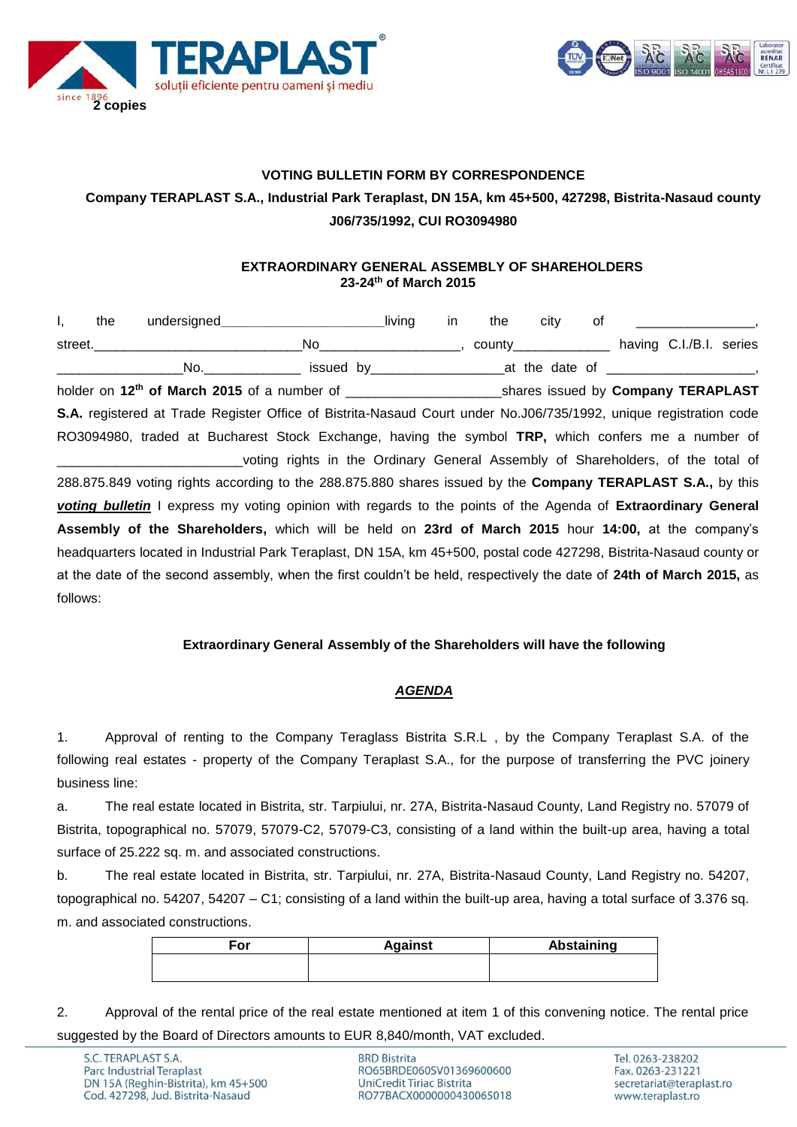



# **VOTING BULLETIN FORM BY CORRESPONDENCE Company TERAPLAST S.A., Industrial Park Teraplast, DN 15A, km 45+500, 427298, Bistrita-Nasaud county J06/735/1992, CUI RO3094980**

#### **EXTRAORDINARY GENERAL ASSEMBLY OF SHAREHOLDERS 23-24th of March 2015**

| Ι,       | the | undersigned undersigned understand                                                                                   | in | the                                            | city | 0f |  | $\overline{\phantom{a}}$ |
|----------|-----|----------------------------------------------------------------------------------------------------------------------|----|------------------------------------------------|------|----|--|--------------------------|
|          |     |                                                                                                                      |    | county________________ having C.I./B.I. series |      |    |  |                          |
|          |     | _No._________________ issued by_________________________at the date of _____________________________                 |    |                                                |      |    |  |                          |
|          |     |                                                                                                                      |    |                                                |      |    |  |                          |
|          |     | S.A. registered at Trade Register Office of Bistrita-Nasaud Court under No.J06/735/1992, unique registration code    |    |                                                |      |    |  |                          |
|          |     | RO3094980, traded at Bucharest Stock Exchange, having the symbol TRP, which confers me a number of                   |    |                                                |      |    |  |                          |
|          |     | voting rights in the Ordinary General Assembly of Shareholders, of the total of                                      |    |                                                |      |    |  |                          |
|          |     | 288.875.849 voting rights according to the 288.875.880 shares issued by the <b>Company TERAPLAST S.A.</b> , by this  |    |                                                |      |    |  |                          |
|          |     | voting bulletin I express my voting opinion with regards to the points of the Agenda of Extraordinary General        |    |                                                |      |    |  |                          |
|          |     | Assembly of the Shareholders, which will be held on 23rd of March 2015 hour 14:00, at the company's                  |    |                                                |      |    |  |                          |
|          |     | headquarters located in Industrial Park Teraplast, DN 15A, km 45+500, postal code 427298, Bistrita-Nasaud county or  |    |                                                |      |    |  |                          |
|          |     | at the date of the second assembly, when the first couldn't be held, respectively the date of 24th of March 2015, as |    |                                                |      |    |  |                          |
| follows: |     |                                                                                                                      |    |                                                |      |    |  |                          |

### **Extraordinary General Assembly of the Shareholders will have the following**

### *AGENDA*

1. Approval of renting to the Company Teraglass Bistrita S.R.L , by the Company Teraplast S.A. of the following real estates - property of the Company Teraplast S.A., for the purpose of transferring the PVC joinery business line:

a. The real estate located in Bistrita, str. Tarpiului, nr. 27A, Bistrita-Nasaud County, Land Registry no. 57079 of Bistrita, topographical no. 57079, 57079-C2, 57079-C3, consisting of a land within the built-up area, having a total surface of 25.222 sq. m. and associated constructions.

b. The real estate located in Bistrita, str. Tarpiului, nr. 27A, Bistrita-Nasaud County, Land Registry no. 54207, topographical no. 54207, 54207 – C1; consisting of a land within the built-up area, having a total surface of 3.376 sq. m. and associated constructions.

| ≡or | <b>Against</b> | <b>Abstaining</b> |
|-----|----------------|-------------------|
|     |                |                   |
|     |                |                   |

2. Approval of the rental price of the real estate mentioned at item 1 of this convening notice. The rental price suggested by the Board of Directors amounts to EUR 8,840/month, VAT excluded.

**BRD Bistrita** RO65BRDE060SV01369600600 UniCredit Tiriac Bistrita RO77BACX0000000430065018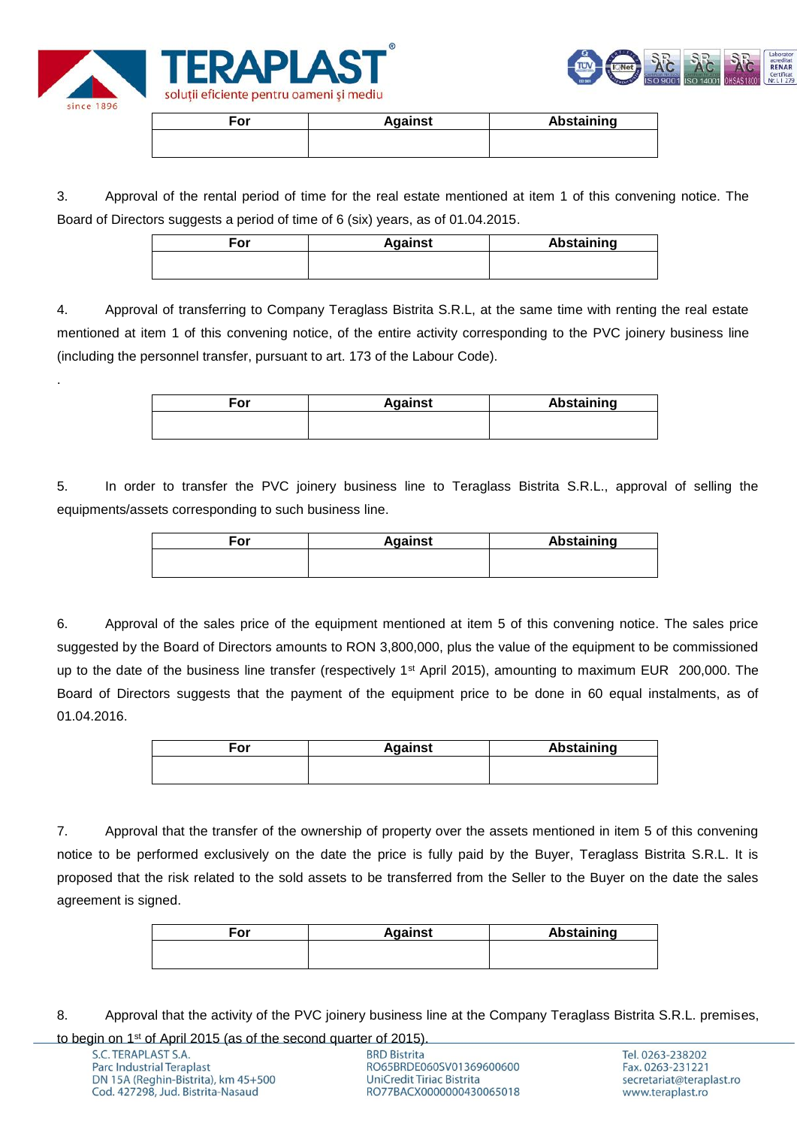

.



| For | <b>Against</b> | Abstaining |
|-----|----------------|------------|
|     |                |            |
|     |                |            |

3. Approval of the rental period of time for the real estate mentioned at item 1 of this convening notice. The Board of Directors suggests a period of time of 6 (six) years, as of 01.04.2015.

4. Approval of transferring to Company Teraglass Bistrita S.R.L, at the same time with renting the real estate mentioned at item 1 of this convening notice, of the entire activity corresponding to the PVC joinery business line (including the personnel transfer, pursuant to art. 173 of the Labour Code).

| <b>Against</b> | Abstaining |
|----------------|------------|
|                |            |
|                |            |

5. In order to transfer the PVC joinery business line to Teraglass Bistrita S.R.L., approval of selling the equipments/assets corresponding to such business line.

| ⊑or | <b>Against</b> | Abstaining |
|-----|----------------|------------|
|     |                |            |
|     |                |            |

6. Approval of the sales price of the equipment mentioned at item 5 of this convening notice. The sales price suggested by the Board of Directors amounts to RON 3,800,000, plus the value of the equipment to be commissioned up to the date of the business line transfer (respectively 1<sup>st</sup> April 2015), amounting to maximum EUR 200,000. The Board of Directors suggests that the payment of the equipment price to be done in 60 equal instalments, as of 01.04.2016.

| For | <b>Against</b> | Abstaining |
|-----|----------------|------------|
|     |                |            |

7. Approval that the transfer of the ownership of property over the assets mentioned in item 5 of this convening notice to be performed exclusively on the date the price is fully paid by the Buyer, Teraglass Bistrita S.R.L. It is proposed that the risk related to the sold assets to be transferred from the Seller to the Buyer on the date the sales agreement is signed.

| For | <b>Against</b> | Abstaining |
|-----|----------------|------------|
|     |                |            |
|     |                |            |

8. Approval that the activity of the PVC joinery business line at the Company Teraglass Bistrita S.R.L. premises,

to begin on 1st of April 2015 (as of the second quarter of 2015).

**BRD Bistrita** RO65BRDE060SV01369600600 **UniCredit Tiriac Bistrita** RO77BACX0000000430065018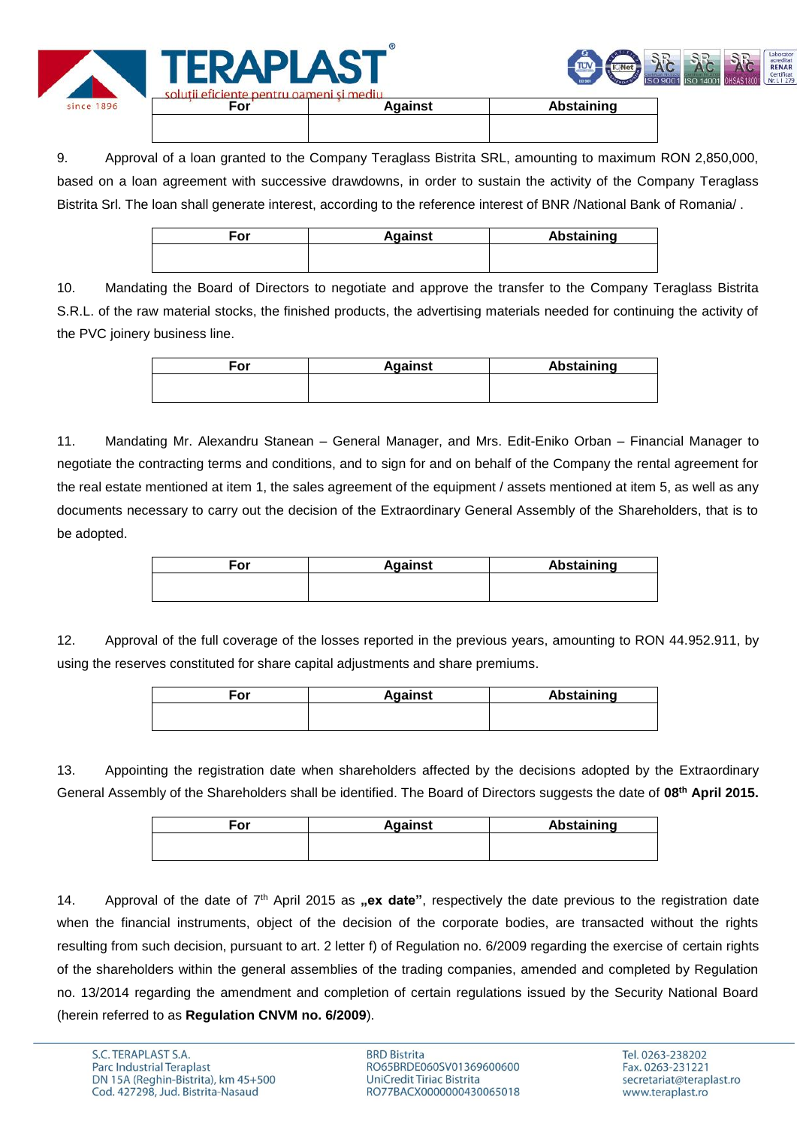

9. Approval of a loan granted to the Company Teraglass Bistrita SRL, amounting to maximum RON 2,850,000, based on a loan agreement with successive drawdowns, in order to sustain the activity of the Company Teraglass Bistrita Srl. The loan shall generate interest, according to the reference interest of BNR /National Bank of Romania/.

| For | <b>Against</b> | <b>Abstaining</b> |
|-----|----------------|-------------------|
|     |                |                   |
|     |                |                   |

10. Mandating the Board of Directors to negotiate and approve the transfer to the Company Teraglass Bistrita S.R.L. of the raw material stocks, the finished products, the advertising materials needed for continuing the activity of the PVC joinery business line.

| ≂or | <b>Against</b> | Abstaining |
|-----|----------------|------------|
|     |                |            |
|     |                |            |

11. Mandating Mr. Alexandru Stanean – General Manager, and Mrs. Edit-Eniko Orban – Financial Manager to negotiate the contracting terms and conditions, and to sign for and on behalf of the Company the rental agreement for the real estate mentioned at item 1, the sales agreement of the equipment / assets mentioned at item 5, as well as any documents necessary to carry out the decision of the Extraordinary General Assembly of the Shareholders, that is to be adopted.

| For | <b>Against</b> | <b>Abstaining</b> |
|-----|----------------|-------------------|
|     |                |                   |
|     |                |                   |

12. Approval of the full coverage of the losses reported in the previous years, amounting to RON 44.952.911, by using the reserves constituted for share capital adjustments and share premiums.

| For | <b>Against</b> | Abstaining |
|-----|----------------|------------|
|     |                |            |
|     |                |            |

13. Appointing the registration date when shareholders affected by the decisions adopted by the Extraordinary General Assembly of the Shareholders shall be identified. The Board of Directors suggests the date of **08th April 2015.**

| For | <b>Against</b> | <b>Abstaining</b> |
|-----|----------------|-------------------|
|     |                |                   |
|     |                |                   |

14. Approval of the date of 7<sup>th</sup> April 2015 as **"ex date**", respectively the date previous to the registration date when the financial instruments, object of the decision of the corporate bodies, are transacted without the rights resulting from such decision, pursuant to art. 2 letter f) of Regulation no. 6/2009 regarding the exercise of certain rights of the shareholders within the general assemblies of the trading companies, amended and completed by Regulation no. 13/2014 regarding the amendment and completion of certain regulations issued by the Security National Board (herein referred to as **Regulation CNVM no. 6/2009**).